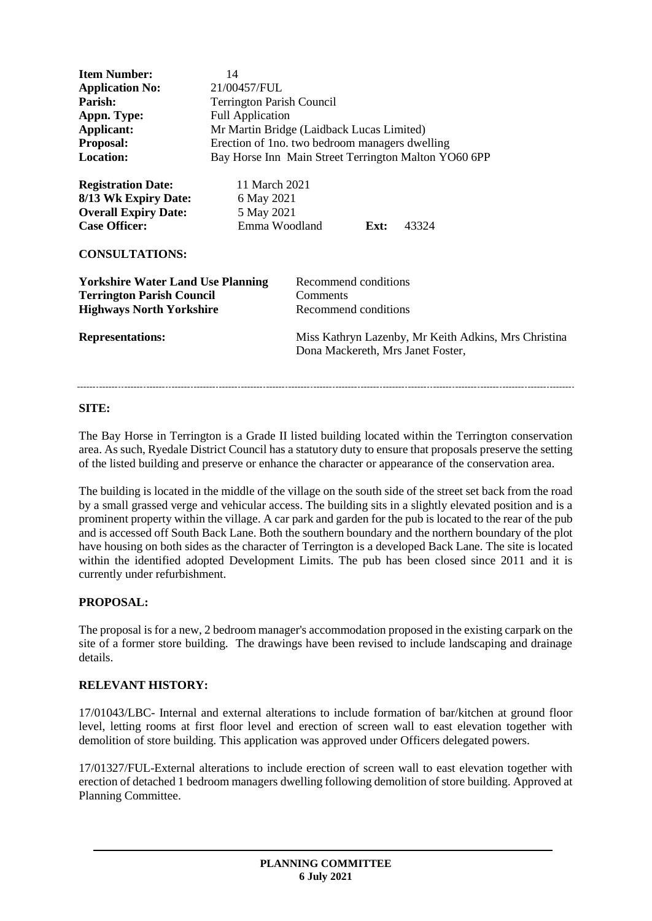| <b>Item Number:</b><br><b>Application No:</b><br>Parish:<br>Appn. Type:<br>Applicant:<br><b>Proposal:</b><br><b>Location:</b>              | 14<br>21/00457/FUL<br><b>Terrington Parish Council</b><br><b>Full Application</b><br>Mr Martin Bridge (Laidback Lucas Limited)<br>Erection of 1 no. two bedroom managers dwelling<br>Bay Horse Inn Main Street Terrington Malton YO60 6PP |                                                                                                                                                       |      |       |
|--------------------------------------------------------------------------------------------------------------------------------------------|-------------------------------------------------------------------------------------------------------------------------------------------------------------------------------------------------------------------------------------------|-------------------------------------------------------------------------------------------------------------------------------------------------------|------|-------|
| <b>Registration Date:</b><br>8/13 Wk Expiry Date:<br><b>Overall Expiry Date:</b><br><b>Case Officer:</b><br><b>CONSULTATIONS:</b>          | 11 March 2021<br>6 May 2021<br>5 May 2021<br>Emma Woodland                                                                                                                                                                                |                                                                                                                                                       | Ext: | 43324 |
| <b>Yorkshire Water Land Use Planning</b><br><b>Terrington Parish Council</b><br><b>Highways North Yorkshire</b><br><b>Representations:</b> |                                                                                                                                                                                                                                           | Recommend conditions<br>Comments<br>Recommend conditions<br>Miss Kathryn Lazenby, Mr Keith Adkins, Mrs Christina<br>Dona Mackereth, Mrs Janet Foster, |      |       |

## **SITE:**

The Bay Horse in Terrington is a Grade II listed building located within the Terrington conservation area. As such, Ryedale District Council has a statutory duty to ensure that proposals preserve the setting of the listed building and preserve or enhance the character or appearance of the conservation area.

The building is located in the middle of the village on the south side of the street set back from the road by a small grassed verge and vehicular access. The building sits in a slightly elevated position and is a prominent property within the village. A car park and garden for the pub is located to the rear of the pub and is accessed off South Back Lane. Both the southern boundary and the northern boundary of the plot have housing on both sides as the character of Terrington is a developed Back Lane. The site is located within the identified adopted Development Limits. The pub has been closed since 2011 and it is currently under refurbishment.

# **PROPOSAL:**

The proposal is for a new, 2 bedroom manager's accommodation proposed in the existing carpark on the site of a former store building. The drawings have been revised to include landscaping and drainage details.

# **RELEVANT HISTORY:**

17/01043/LBC- Internal and external alterations to include formation of bar/kitchen at ground floor level, letting rooms at first floor level and erection of screen wall to east elevation together with demolition of store building. This application was approved under Officers delegated powers.

17/01327/FUL-External alterations to include erection of screen wall to east elevation together with erection of detached 1 bedroom managers dwelling following demolition of store building. Approved at Planning Committee.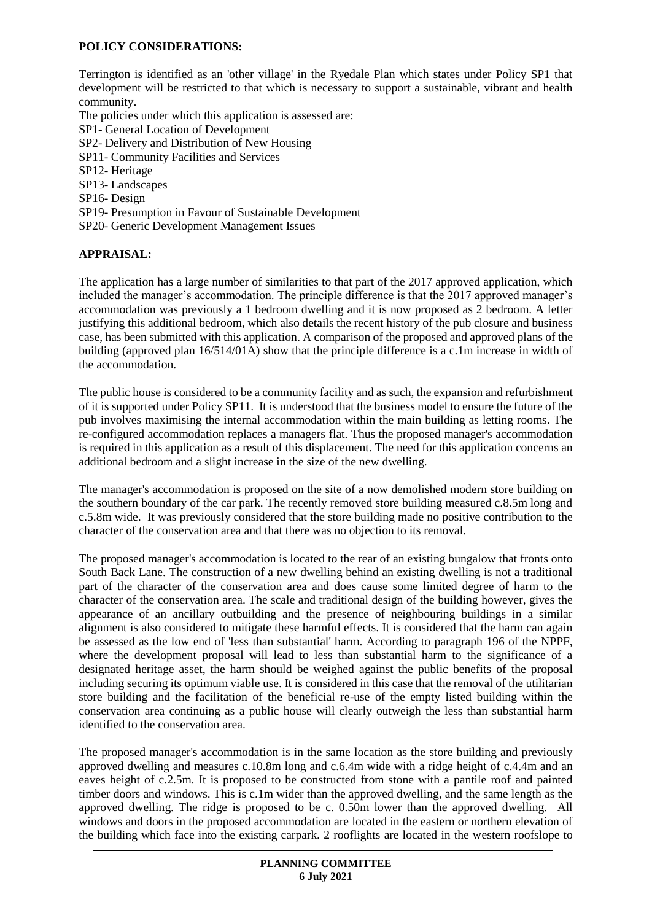# **POLICY CONSIDERATIONS:**

Terrington is identified as an 'other village' in the Ryedale Plan which states under Policy SP1 that development will be restricted to that which is necessary to support a sustainable, vibrant and health community.

The policies under which this application is assessed are:

- SP1- General Location of Development
- SP2- Delivery and Distribution of New Housing
- SP11- Community Facilities and Services
- SP12- Heritage
- SP13- Landscapes
- SP16- Design
- SP19- Presumption in Favour of Sustainable Development
- SP20- Generic Development Management Issues

## **APPRAISAL:**

The application has a large number of similarities to that part of the 2017 approved application, which included the manager's accommodation. The principle difference is that the 2017 approved manager's accommodation was previously a 1 bedroom dwelling and it is now proposed as 2 bedroom. A letter justifying this additional bedroom, which also details the recent history of the pub closure and business case, has been submitted with this application. A comparison of the proposed and approved plans of the building (approved plan 16/514/01A) show that the principle difference is a c.1m increase in width of the accommodation.

The public house is considered to be a community facility and as such, the expansion and refurbishment of it is supported under Policy SP11. It is understood that the business model to ensure the future of the pub involves maximising the internal accommodation within the main building as letting rooms. The re-configured accommodation replaces a managers flat. Thus the proposed manager's accommodation is required in this application as a result of this displacement. The need for this application concerns an additional bedroom and a slight increase in the size of the new dwelling.

The manager's accommodation is proposed on the site of a now demolished modern store building on the southern boundary of the car park. The recently removed store building measured c.8.5m long and c.5.8m wide. It was previously considered that the store building made no positive contribution to the character of the conservation area and that there was no objection to its removal.

The proposed manager's accommodation is located to the rear of an existing bungalow that fronts onto South Back Lane. The construction of a new dwelling behind an existing dwelling is not a traditional part of the character of the conservation area and does cause some limited degree of harm to the character of the conservation area. The scale and traditional design of the building however, gives the appearance of an ancillary outbuilding and the presence of neighbouring buildings in a similar alignment is also considered to mitigate these harmful effects. It is considered that the harm can again be assessed as the low end of 'less than substantial' harm. According to paragraph 196 of the NPPF, where the development proposal will lead to less than substantial harm to the significance of a designated heritage asset, the harm should be weighed against the public benefits of the proposal including securing its optimum viable use. It is considered in this case that the removal of the utilitarian store building and the facilitation of the beneficial re-use of the empty listed building within the conservation area continuing as a public house will clearly outweigh the less than substantial harm identified to the conservation area.

The proposed manager's accommodation is in the same location as the store building and previously approved dwelling and measures c.10.8m long and c.6.4m wide with a ridge height of c.4.4m and an eaves height of c.2.5m. It is proposed to be constructed from stone with a pantile roof and painted timber doors and windows. This is c.1m wider than the approved dwelling, and the same length as the approved dwelling. The ridge is proposed to be c. 0.50m lower than the approved dwelling. All windows and doors in the proposed accommodation are located in the eastern or northern elevation of the building which face into the existing carpark. 2 rooflights are located in the western roofslope to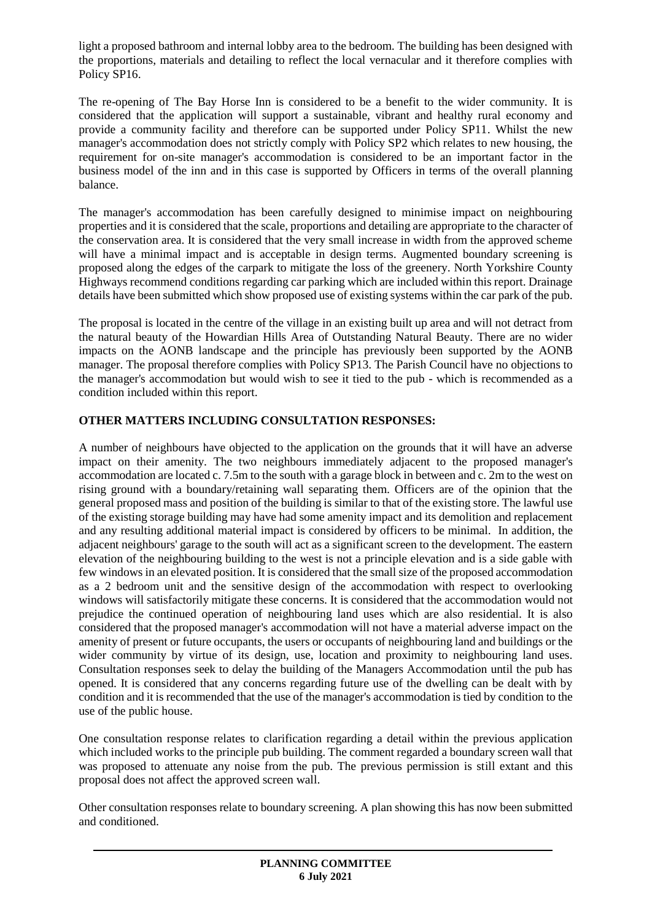light a proposed bathroom and internal lobby area to the bedroom. The building has been designed with the proportions, materials and detailing to reflect the local vernacular and it therefore complies with Policy SP16.

The re-opening of The Bay Horse Inn is considered to be a benefit to the wider community. It is considered that the application will support a sustainable, vibrant and healthy rural economy and provide a community facility and therefore can be supported under Policy SP11. Whilst the new manager's accommodation does not strictly comply with Policy SP2 which relates to new housing, the requirement for on-site manager's accommodation is considered to be an important factor in the business model of the inn and in this case is supported by Officers in terms of the overall planning balance.

The manager's accommodation has been carefully designed to minimise impact on neighbouring properties and it is considered that the scale, proportions and detailing are appropriate to the character of the conservation area. It is considered that the very small increase in width from the approved scheme will have a minimal impact and is acceptable in design terms. Augmented boundary screening is proposed along the edges of the carpark to mitigate the loss of the greenery. North Yorkshire County Highways recommend conditions regarding car parking which are included within this report. Drainage details have been submitted which show proposed use of existing systems within the car park of the pub.

The proposal is located in the centre of the village in an existing built up area and will not detract from the natural beauty of the Howardian Hills Area of Outstanding Natural Beauty. There are no wider impacts on the AONB landscape and the principle has previously been supported by the AONB manager. The proposal therefore complies with Policy SP13. The Parish Council have no objections to the manager's accommodation but would wish to see it tied to the pub - which is recommended as a condition included within this report.

# **OTHER MATTERS INCLUDING CONSULTATION RESPONSES:**

A number of neighbours have objected to the application on the grounds that it will have an adverse impact on their amenity. The two neighbours immediately adjacent to the proposed manager's accommodation are located c. 7.5m to the south with a garage block in between and c. 2m to the west on rising ground with a boundary/retaining wall separating them. Officers are of the opinion that the general proposed mass and position of the building is similar to that of the existing store. The lawful use of the existing storage building may have had some amenity impact and its demolition and replacement and any resulting additional material impact is considered by officers to be minimal. In addition, the adjacent neighbours' garage to the south will act as a significant screen to the development. The eastern elevation of the neighbouring building to the west is not a principle elevation and is a side gable with few windows in an elevated position. It is considered that the small size of the proposed accommodation as a 2 bedroom unit and the sensitive design of the accommodation with respect to overlooking windows will satisfactorily mitigate these concerns. It is considered that the accommodation would not prejudice the continued operation of neighbouring land uses which are also residential. It is also considered that the proposed manager's accommodation will not have a material adverse impact on the amenity of present or future occupants, the users or occupants of neighbouring land and buildings or the wider community by virtue of its design, use, location and proximity to neighbouring land uses. Consultation responses seek to delay the building of the Managers Accommodation until the pub has opened. It is considered that any concerns regarding future use of the dwelling can be dealt with by condition and it is recommended that the use of the manager's accommodation is tied by condition to the use of the public house.

One consultation response relates to clarification regarding a detail within the previous application which included works to the principle pub building. The comment regarded a boundary screen wall that was proposed to attenuate any noise from the pub. The previous permission is still extant and this proposal does not affect the approved screen wall.

Other consultation responses relate to boundary screening. A plan showing this has now been submitted and conditioned.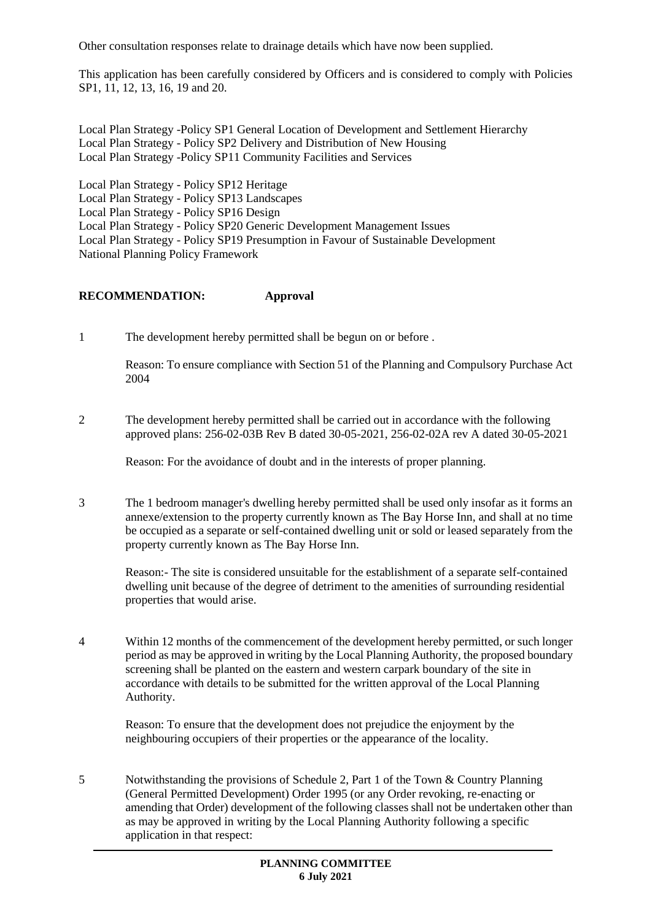Other consultation responses relate to drainage details which have now been supplied.

This application has been carefully considered by Officers and is considered to comply with Policies SP1, 11, 12, 13, 16, 19 and 20.

Local Plan Strategy -Policy SP1 General Location of Development and Settlement Hierarchy Local Plan Strategy - Policy SP2 Delivery and Distribution of New Housing Local Plan Strategy -Policy SP11 Community Facilities and Services

Local Plan Strategy - Policy SP12 Heritage Local Plan Strategy - Policy SP13 Landscapes Local Plan Strategy - Policy SP16 Design Local Plan Strategy - Policy SP20 Generic Development Management Issues Local Plan Strategy - Policy SP19 Presumption in Favour of Sustainable Development National Planning Policy Framework

## **RECOMMENDATION: Approval**

1 The development hereby permitted shall be begun on or before .

Reason: To ensure compliance with Section 51 of the Planning and Compulsory Purchase Act 2004

2 The development hereby permitted shall be carried out in accordance with the following approved plans: 256-02-03B Rev B dated 30-05-2021, 256-02-02A rev A dated 30-05-2021

Reason: For the avoidance of doubt and in the interests of proper planning.

3 The 1 bedroom manager's dwelling hereby permitted shall be used only insofar as it forms an annexe/extension to the property currently known as The Bay Horse Inn, and shall at no time be occupied as a separate or self-contained dwelling unit or sold or leased separately from the property currently known as The Bay Horse Inn.

Reason:- The site is considered unsuitable for the establishment of a separate self-contained dwelling unit because of the degree of detriment to the amenities of surrounding residential properties that would arise.

4 Within 12 months of the commencement of the development hereby permitted, or such longer period as may be approved in writing by the Local Planning Authority, the proposed boundary screening shall be planted on the eastern and western carpark boundary of the site in accordance with details to be submitted for the written approval of the Local Planning Authority.

Reason: To ensure that the development does not prejudice the enjoyment by the neighbouring occupiers of their properties or the appearance of the locality.

5 Notwithstanding the provisions of Schedule 2, Part 1 of the Town & Country Planning (General Permitted Development) Order 1995 (or any Order revoking, re-enacting or amending that Order) development of the following classes shall not be undertaken other than as may be approved in writing by the Local Planning Authority following a specific application in that respect: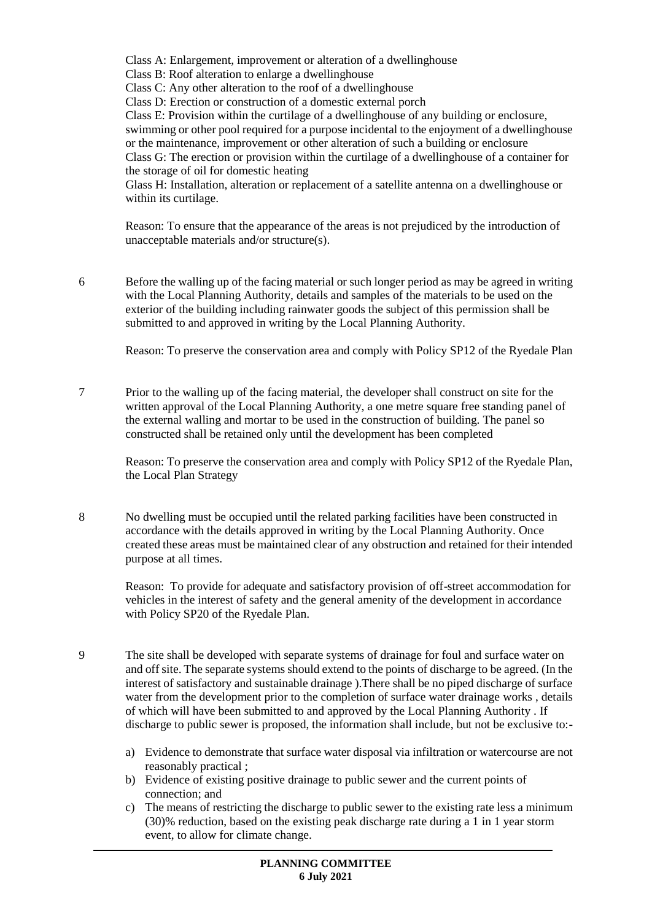Class A: Enlargement, improvement or alteration of a dwellinghouse Class B: Roof alteration to enlarge a dwellinghouse Class C: Any other alteration to the roof of a dwellinghouse Class D: Erection or construction of a domestic external porch Class E: Provision within the curtilage of a dwellinghouse of any building or enclosure, swimming or other pool required for a purpose incidental to the enjoyment of a dwellinghouse or the maintenance, improvement or other alteration of such a building or enclosure Class G: The erection or provision within the curtilage of a dwellinghouse of a container for the storage of oil for domestic heating Glass H: Installation, alteration or replacement of a satellite antenna on a dwellinghouse or within its curtilage.

Reason: To ensure that the appearance of the areas is not prejudiced by the introduction of unacceptable materials and/or structure(s).

6 Before the walling up of the facing material or such longer period as may be agreed in writing with the Local Planning Authority, details and samples of the materials to be used on the exterior of the building including rainwater goods the subject of this permission shall be submitted to and approved in writing by the Local Planning Authority.

Reason: To preserve the conservation area and comply with Policy SP12 of the Ryedale Plan

7 Prior to the walling up of the facing material, the developer shall construct on site for the written approval of the Local Planning Authority, a one metre square free standing panel of the external walling and mortar to be used in the construction of building. The panel so constructed shall be retained only until the development has been completed

Reason: To preserve the conservation area and comply with Policy SP12 of the Ryedale Plan, the Local Plan Strategy

8 No dwelling must be occupied until the related parking facilities have been constructed in accordance with the details approved in writing by the Local Planning Authority. Once created these areas must be maintained clear of any obstruction and retained for their intended purpose at all times.

Reason: To provide for adequate and satisfactory provision of off-street accommodation for vehicles in the interest of safety and the general amenity of the development in accordance with Policy SP20 of the Ryedale Plan.

- 9 The site shall be developed with separate systems of drainage for foul and surface water on and off site. The separate systems should extend to the points of discharge to be agreed. (In the interest of satisfactory and sustainable drainage ).There shall be no piped discharge of surface water from the development prior to the completion of surface water drainage works , details of which will have been submitted to and approved by the Local Planning Authority . If discharge to public sewer is proposed, the information shall include, but not be exclusive to:
	- a) Evidence to demonstrate that surface water disposal via infiltration or watercourse are not reasonably practical ;
	- b) Evidence of existing positive drainage to public sewer and the current points of connection; and
	- c) The means of restricting the discharge to public sewer to the existing rate less a minimum (30)% reduction, based on the existing peak discharge rate during a 1 in 1 year storm event, to allow for climate change.

**PLANNING COMMITTEE 6 July 2021**